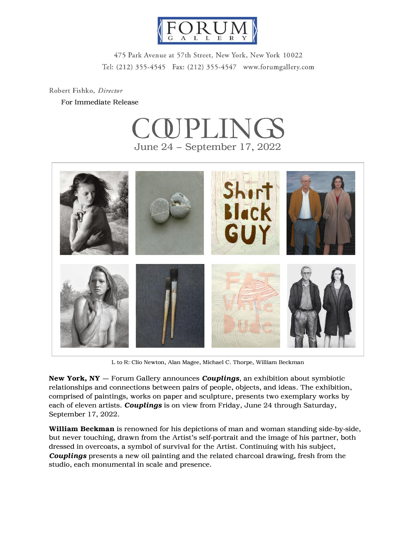

475 Park Avenue at 57th Street, New York, New York 10022 Tel: (212) 355-4545 Fax: (212) 355-4547 www.forumgallery.com

Robert Fishko, Director

For Immediate Release





L to R: Clio Newton, Alan Magee, Michael C. Thorpe, William Beckman

New York, NY — Forum Gallery announces *Couplings*, an exhibition about symbiotic relationships and connections between pairs of people, objects, and ideas. The exhibition, comprised of paintings, works on paper and sculpture, presents two exemplary works by each of eleven artists. *Couplings* is on view from Friday, June 24 through Saturday, September 17, 2022.

William Beckman is renowned for his depictions of man and woman standing side-by-side, but never touching, drawn from the Artist's self-portrait and the image of his partner, both dressed in overcoats, a symbol of survival for the Artist. Continuing with his subject, *Couplings* presents a new oil painting and the related charcoal drawing, fresh from the studio, each monumental in scale and presence.